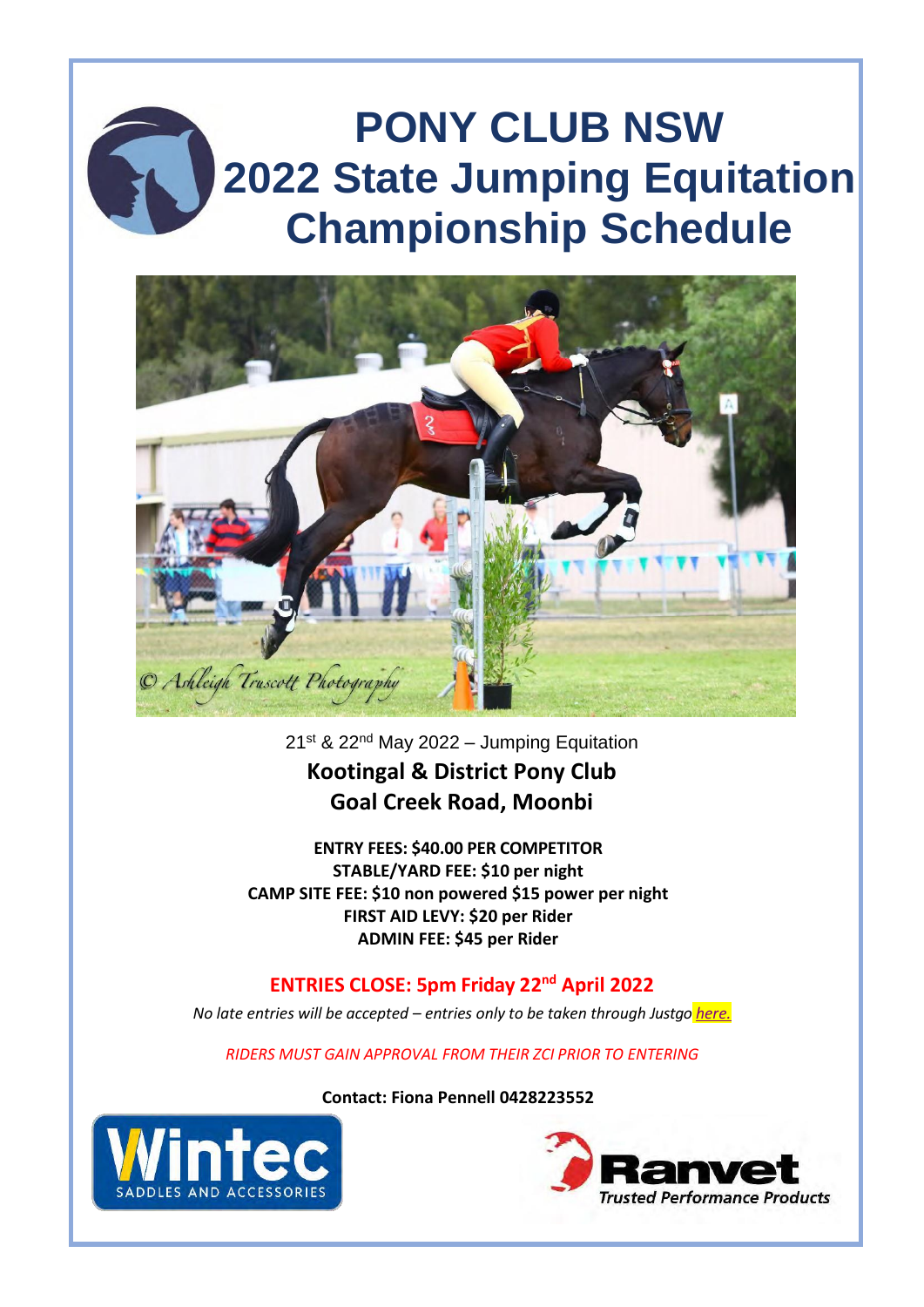# **PONY CLUB NSW 2022 State Jumping Equitation Championship Schedule**



21st & 22nd May 2022 – Jumping Equitation **Kootingal & District Pony Club Goal Creek Road, Moonbi**

**ENTRY FEES: \$40.00 PER COMPETITOR STABLE/YARD FEE: \$10 per night CAMP SITE FEE: \$10 non powered \$15 power per night FIRST AID LEVY: \$20 per Rider ADMIN FEE: \$45 per Rider**

**ENTRIES CLOSE: 5pm Friday 22nd April 2022**

*No late entries will be accepted – entries only to be taken through Justgo [here.](https://pca.justgo.com/workbench/public/events?ref=B8088FCA72D8C2782ED7555C96D7F6452C2F3C6F)*

*RIDERS MUST GAIN APPROVAL FROM THEIR ZCI PRIOR TO ENTERING*

**Contact: Fiona Pennell 0428223552**



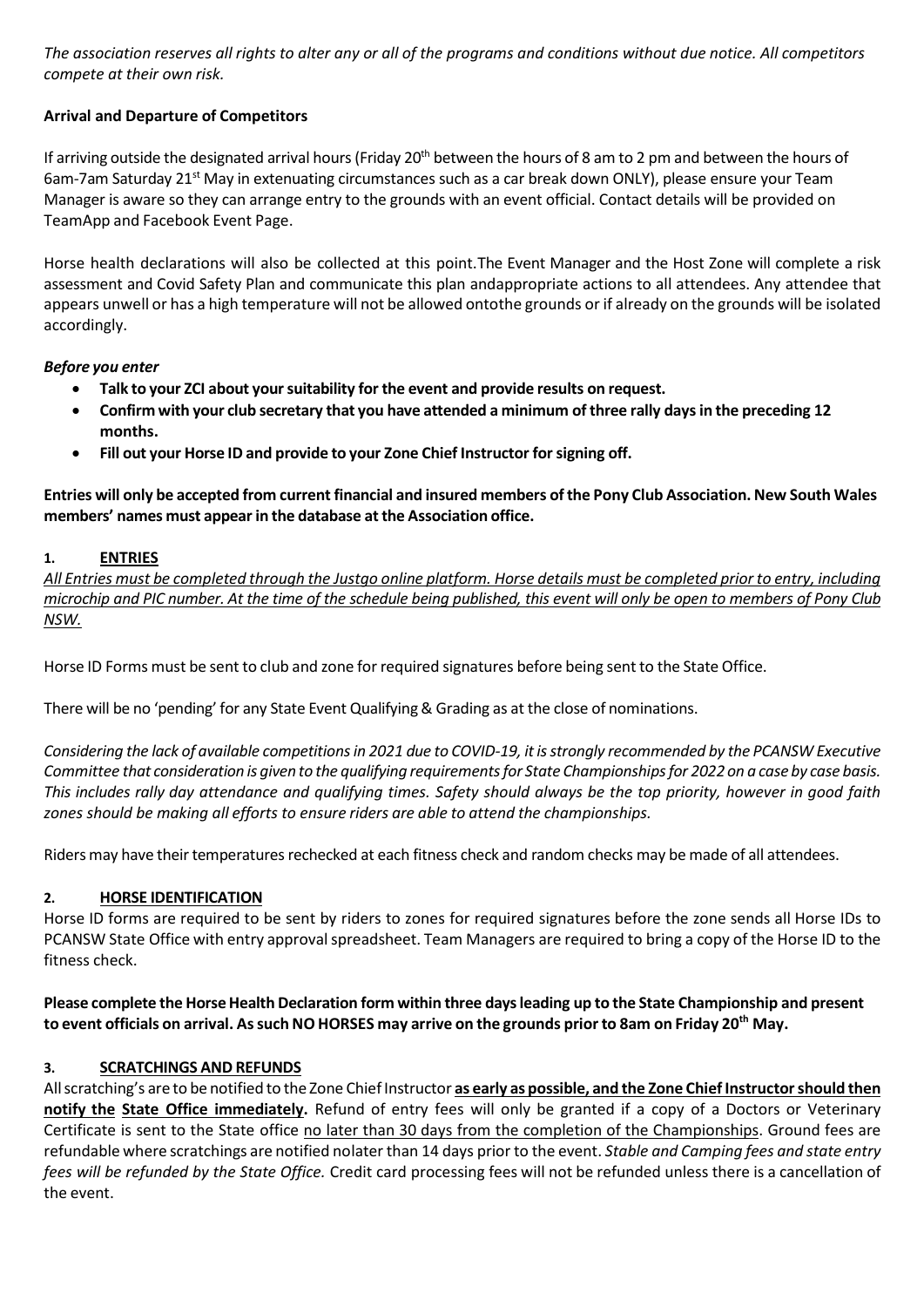*The association reserves all rights to alter any or all of the programs and conditions without due notice. All competitors compete at their own risk.*

# **Arrival and Departure of Competitors**

If arriving outside the designated arrival hours (Friday 20<sup>th</sup> between the hours of 8 am to 2 pm and between the hours of 6am-7am Saturday 21<sup>st</sup> May in extenuating circumstances such as a car break down ONLY), please ensure your Team Manager is aware so they can arrange entry to the grounds with an event official. Contact details will be provided on TeamApp and Facebook Event Page.

Horse health declarations will also be collected at this point.The Event Manager and the Host Zone will complete a risk assessment and Covid Safety Plan and communicate this plan andappropriate actions to all attendees. Any attendee that appears unwell or has a high temperature will not be allowed ontothe grounds or if already on the grounds will be isolated accordingly.

#### *Before you enter*

- **Talk to your ZCI about yoursuitability for the event and provide results on request.**
- Confirm with your club secretary that you have attended a minimum of three rally days in the preceding 12 **months.**
- **Fill out your Horse ID and provide to your Zone Chief Instructor forsigning off.**

Entries will only be accepted from current financial and insured members of the Pony Club Association. New South Wales **members' names must appear in the database at the Association office.**

# **1. ENTRIES**

*All Entries must be completed through the Justgo online platform. Horse details must be completed prior to entry, including* microchip and PIC number. At the time of the schedule being published, this event will only be open to members of Pony Club *NSW.*

Horse ID Forms must be sent to club and zone for required signatures before being sent to the State Office.

There will be no 'pending' for any State Event Qualifying& Grading as at the close of nominations.

Considering the lack of available competitions in 2021 due to COVID-19, it is strongly recommended by the PCANSW Executive Committee that consideration is given to the qualifying requirements for State Championships for 2022 on a case by case basis. This includes rally day attendance and qualifying times. Safety should always be the top priority, however in good faith *zones should be making all efforts to ensure riders are able to attend the championships.*

Riders may have their temperatures rechecked at each fitness check and random checks may be made of all attendees.

# **2. HORSE IDENTIFICATION**

Horse ID forms are required to be sent by riders to zones for required signatures before the zone sends all Horse IDs to PCANSW State Office with entry approval spreadsheet. Team Managers are required to bring a copy of the Horse ID to the fitness check.

Please complete the Horse Health Declaration form within three days leading up to the State Championship and present to event officials on arrival. As such NO HORSES may arrive on the grounds prior to 8am on Friday 20<sup>th</sup> May.

# **3. SCRATCHINGS AND REFUNDS**

Allscratching's are to be notified to the Zone ChiefInstructor **as early as possible, and the Zone ChiefInstructorshould then notify the State Office immediately.** Refund of entry fees will only be granted if a copy of a Doctors or Veterinary Certificate is sent to the State office no later than 30 days from the completion of the Championships. Ground fees are refundable where scratchings are notified nolater than 14 days prior to the event. *Stable and Camping fees and state entry fees will be refunded by the State Office.* Credit card processing fees will not be refunded unless there is a cancellation of the event.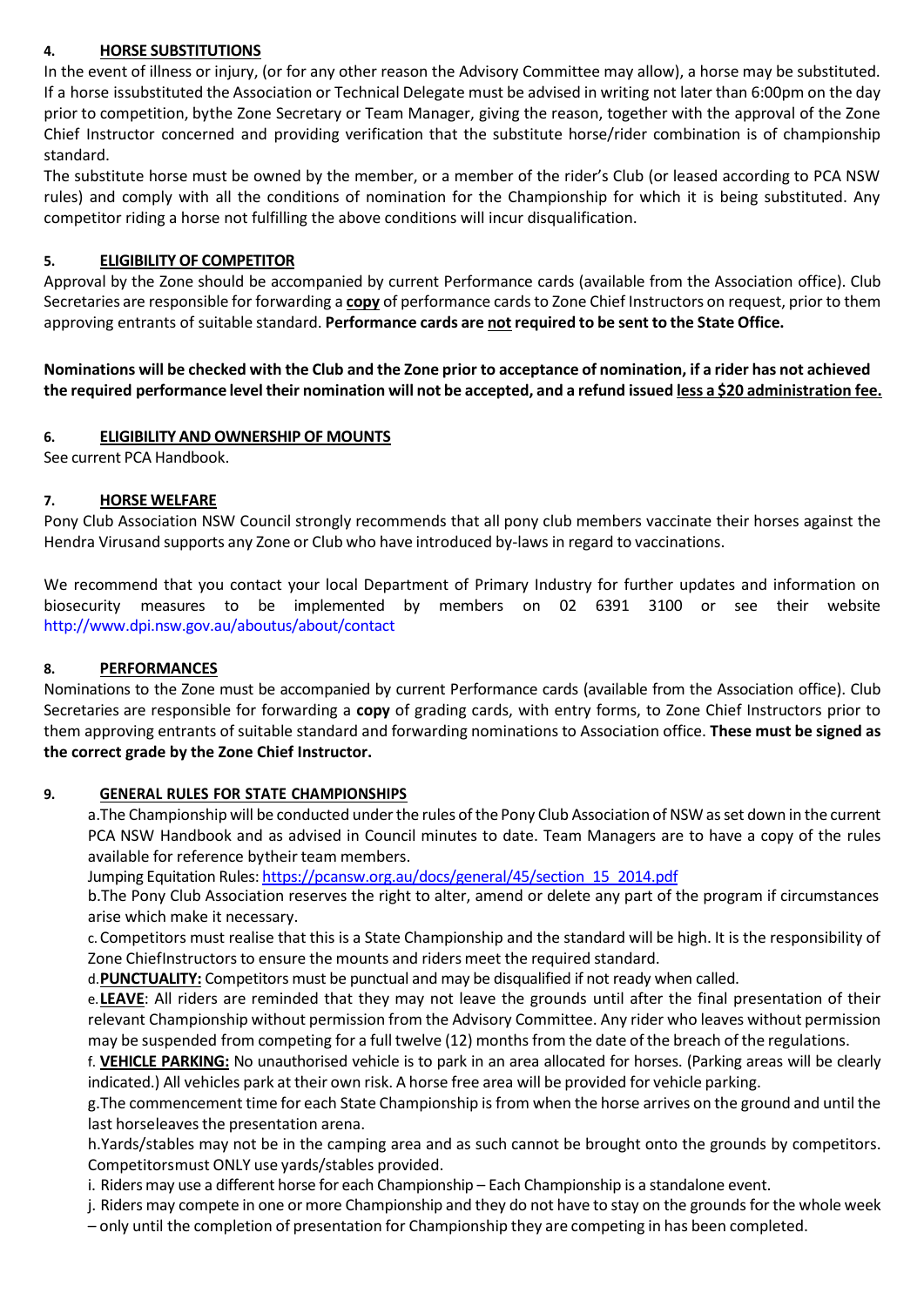# **4. HORSE SUBSTITUTIONS**

In the event of illness or injury, (or for any other reason the Advisory Committee may allow), a horse may be substituted. If a horse issubstituted the Association or Technical Delegate must be advised in writing not later than 6:00pm on the day prior to competition, bythe Zone Secretary or Team Manager, giving the reason, together with the approval of the Zone Chief Instructor concerned and providing verification that the substitute horse/rider combination is of championship standard.

The substitute horse must be owned by the member, or a member of the rider's Club (or leased according to PCA NSW rules) and comply with all the conditions of nomination for the Championship for which it is being substituted. Any competitor riding a horse not fulfilling the above conditions will incur disqualification.

# **5. ELIGIBILITY OF COMPETITOR**

Approval by the Zone should be accompanied by current Performance cards (available from the Association office). Club Secretaries are responsible for forwarding a **copy** of performance cards to Zone Chief Instructors on request, prior to them approving entrants of suitable standard. **Performance cards are not required to be sent to the State Office.**

Nominations will be checked with the Club and the Zone prior to acceptance of nomination, if a rider has not achieved the required performance level their nomination will not be accepted, and a refund issued less a \$20 administration fee.

# **6. ELIGIBILITY AND OWNERSHIP OF MOUNTS**

See current PCA Handbook.

# **7. HORSE WELFARE**

Pony Club Association NSW Council strongly recommends that all pony club members vaccinate their horses against the Hendra Virusand supports any Zone or Club who have introduced by-laws in regard to vaccinations.

We recommend that you contact your local Department of Primary Industry for further updates and information on biosecurity measures to be implemented by members on 02 6391 3100 or see their website <http://www.dpi.nsw.gov.au/aboutus/about/contact>

# **8. PERFORMANCES**

Nominations to the Zone must be accompanied by current Performance cards (available from the Association office). Club Secretaries are responsible for forwarding a **copy** of grading cards, with entry forms, to Zone Chief Instructors prior to them approving entrants of suitable standard and forwarding nominations to Association office. **These must be signed as the correct grade by the Zone Chief Instructor.**

# **9. GENERAL RULES FOR STATE CHAMPIONSHIPS**

a. The Championship will be conducted under the rules of the Pony Club Association of NSW as set down in the current PCA NSW Handbook and as advised in Council minutes to date. Team Managers are to have a copy of the rules available for reference bytheir team members.

Jumping Equitation Rules: [https://pcansw.org.au/docs/general/45/section\\_15\\_2014.pdf](https://pcansw.org.au/docs/general/45/section_15_2014.pdf)

b.The Pony Club Association reserves the right to alter, amend or delete any part of the program if circumstances arise which make it necessary.

c.Competitors must realise that this is a State Championship and the standard will be high. It is the responsibility of Zone ChiefInstructors to ensure the mounts and riders meet the required standard.

d.**PUNCTUALITY:** Competitors must be punctual and may be disqualified if not ready when called.

e.**LEAVE**: All riders are reminded that they may not leave the grounds until after the final presentation of their relevant Championship without permission from the Advisory Committee. Any rider who leaves without permission may be suspended from competing for a full twelve (12) months from the date of the breach of the regulations.

f. **VEHICLE PARKING:** No unauthorised vehicle is to park in an area allocated for horses. (Parking areas will be clearly indicated.) All vehicles park at their own risk. A horse free area will be provided for vehicle parking.

g.The commencement time for each State Championship is from when the horse arrives on the ground and until the last horseleaves the presentation arena.

h.Yards/stables may not be in the camping area and as such cannot be brought onto the grounds by competitors. Competitorsmust ONLY use yards/stables provided.

i. Riders may use a different horse for each Championship – Each Championship is a standalone event.

j. Riders may compete in one or more Championship and they do not have to stay on the grounds for the whole week

– only until the completion of presentation for Championship they are competing in has been completed.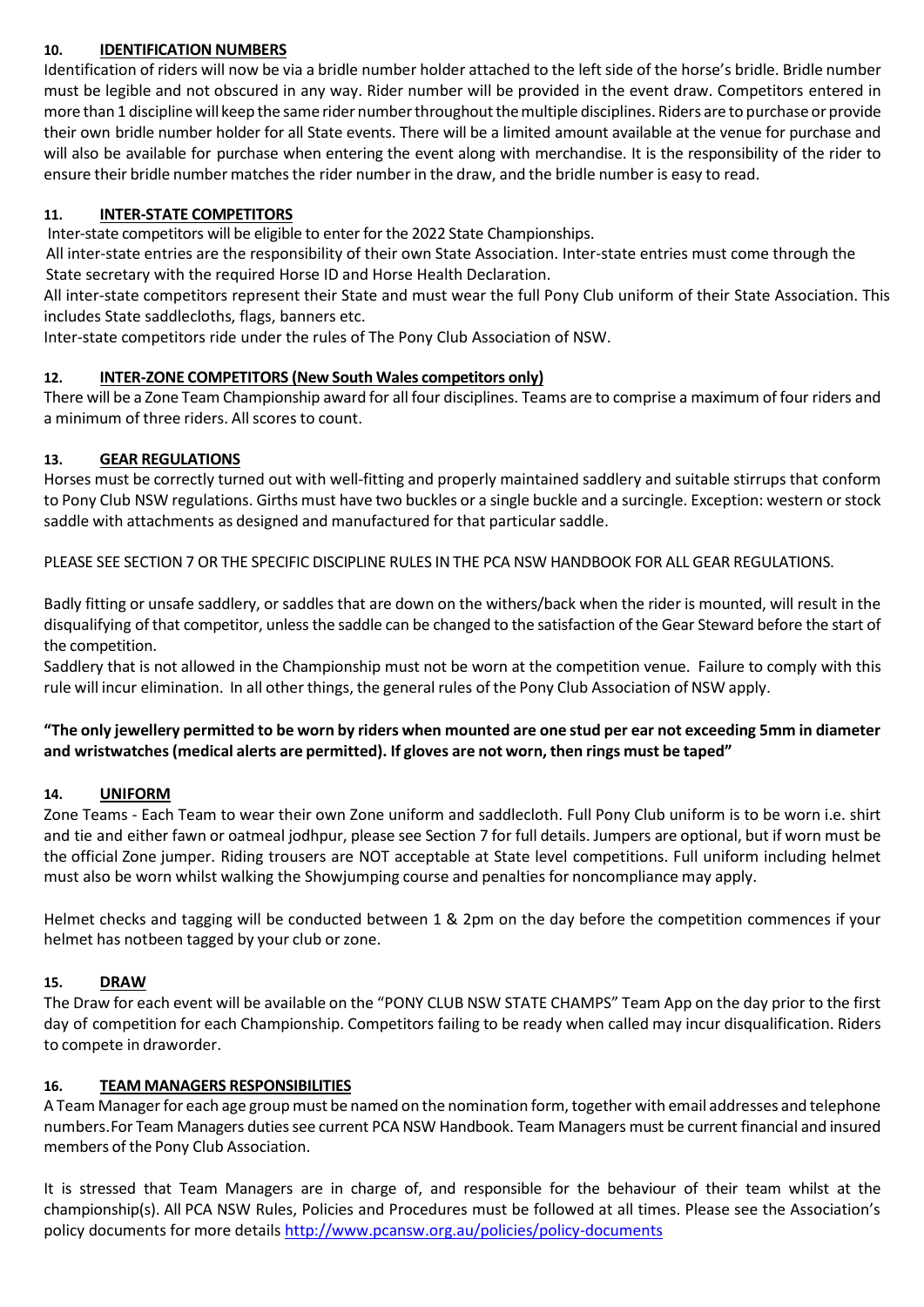#### **10. IDENTIFICATION NUMBERS**

Identification of riders will now be via a bridle number holder attached to the left side of the horse's bridle. Bridle number must be legible and not obscured in any way. Rider number will be provided in the event draw. Competitors entered in more than 1 disciplinewill keep the same rider numberthroughoutthemultiple disciplines. Riders are to purchaseor provide their own bridle number holder for all State events. There will be a limited amount available at the venue for purchase and will also be available for purchase when entering the event along with merchandise. It is the responsibility of the rider to ensure their bridle number matches the rider number in the draw, and the bridle number is easy to read.

#### **11. INTER-STATE COMPETITORS**

Inter-state competitors will be eligible to enter for the 2022 State Championships.

 All inter-state entries are the responsibility of their own State Association. Inter-state entries must come through the State secretary with the required Horse ID and Horse Health Declaration.

All inter-state competitors represent their State and must wear the full Pony Club uniform of their State Association. This includes State saddlecloths, flags, banners etc.

Inter-state competitors ride under the rules of The Pony Club Association of NSW.

#### **12. INTER-ZONE COMPETITORS (New South Wales competitors only)**

There will be a Zone Team Championship award for all four disciplines. Teams are to comprise a maximum of four riders and a minimum of three riders. Allscores to count.

#### **13. GEAR REGULATIONS**

Horses must be correctly turned out with well-fitting and properly maintained saddlery and suitable stirrups that conform to Pony Club NSW regulations. Girths must have two buckles or a single buckle and a surcingle. Exception: western orstock saddle with attachments as designed and manufactured for that particular saddle.

PLEASE SEE SECTION 7 OR THE SPECIFIC DISCIPLINE RULES INTHE PCA NSW HANDBOOK FOR ALL GEAR REGULATIONS.

Badly fitting or unsafe saddlery, or saddles that are down on the withers/back when the rider is mounted, will result in the disqualifying of that competitor, unless the saddle can be changed to the satisfaction of the Gear Steward before the start of the competition.

Saddlery that is not allowed in the Championship must not be worn at the competition venue. Failure to comply with this rule will incur elimination. In all other things, the general rules of the Pony Club Association of NSW apply.

# **"The only jewellery permitted to be worn by riders when mounted are one stud per ear not exceeding 5mm in diameter and wristwatches(medical alerts are permitted). If gloves are not worn, then rings must be taped"**

# **14. UNIFORM**

Zone Teams - Each Team to wear their own Zone uniform and saddlecloth. Full Pony Club uniform is to be worn i.e. shirt and tie and either fawn or oatmeal jodhpur, please see Section 7 for full details. Jumpers are optional, but if worn must be the official Zone jumper. Riding trousers are NOT acceptable at State level competitions. Full uniform including helmet must also be worn whilst walking the Showjumping course and penalties for noncompliance may apply.

Helmet checks and tagging will be conducted between 1 & 2pm on the day before the competition commences if your helmet has notbeen tagged by your club or zone.

# **15. DRAW**

The Draw for each event will be available on the "PONY CLUB NSW STATE CHAMPS" Team App on the day prior to the first day of competition for each Championship. Competitors failing to be ready when called may incur disqualification. Riders to compete in draworder.

#### **16. TEAM MANAGERS RESPONSIBILITIES**

A Team Manager for each age group must be named on the nomination form, together with email addresses and telephone numbers.For Team Managers dutiessee current PCA NSW Handbook. Team Managers must be current financial and insured members of the Pony Club Association.

It is stressed that Team Managers are in charge of, and responsible for the behaviour of their team whilst at the championship(s). All PCA NSW Rules, Policies and Procedures must be followed at all times. Please see the Association's policy documents for more details <http://www.pcansw.org.au/policies/policy-documents>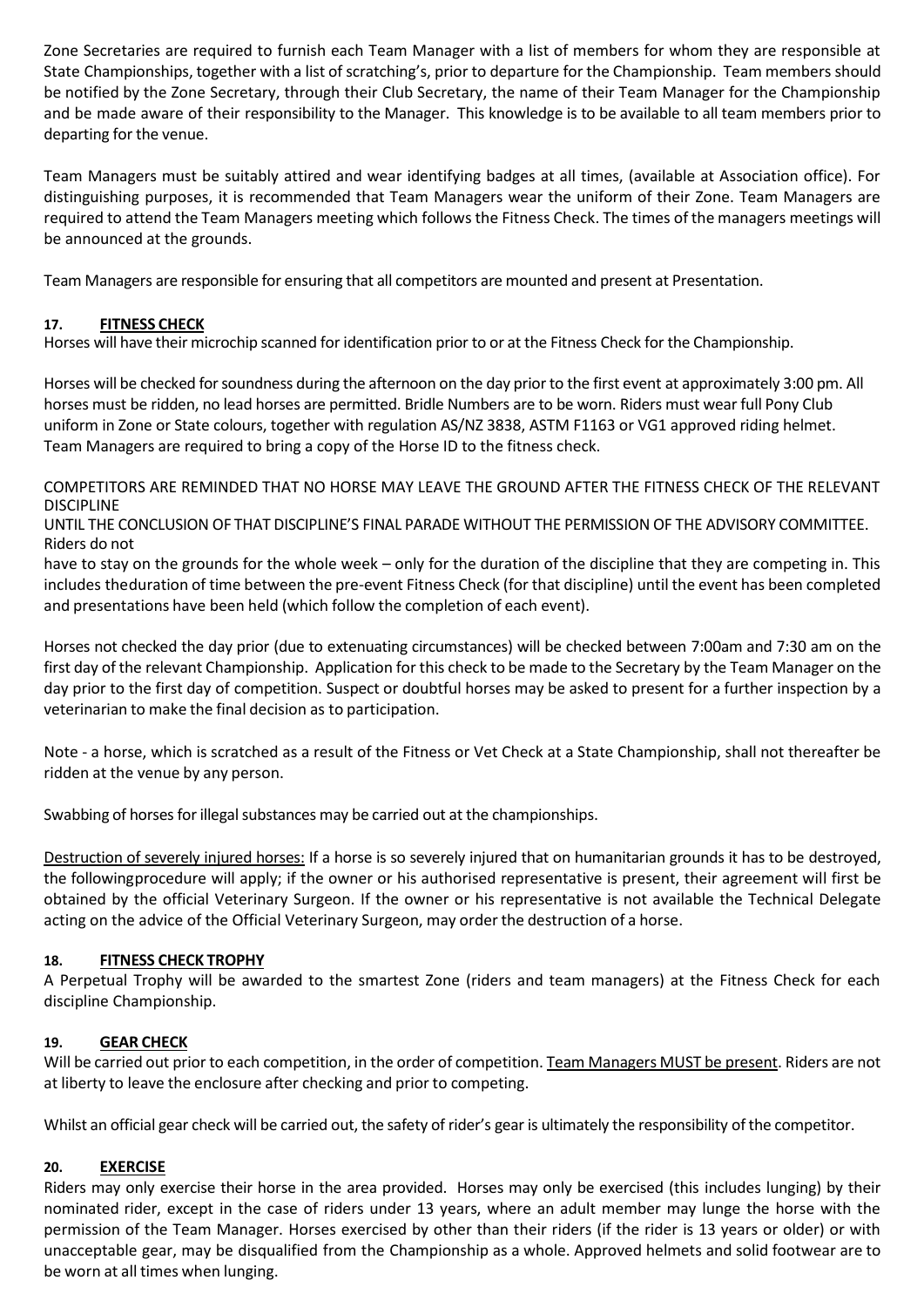Zone Secretaries are required to furnish each Team Manager with a list of members for whom they are responsible at State Championships, together with a list of scratching's, prior to departure for the Championship. Team members should be notified by the Zone Secretary, through their Club Secretary, the name of their Team Manager for the Championship and be made aware of their responsibility to the Manager. This knowledge is to be available to all team members prior to departing for the venue.

Team Managers must be suitably attired and wear identifying badges at all times, (available at Association office). For distinguishing purposes, it is recommended that Team Managers wear the uniform of their Zone. Team Managers are required to attend the Team Managers meeting which follows the Fitness Check. The times of the managers meetings will be announced at the grounds.

Team Managers are responsible for ensuring that all competitors are mounted and present at Presentation.

# **17. FITNESS CHECK**

Horses will have their microchip scanned for identification prior to or at the Fitness Check for the Championship.

Horses will be checked for soundness during the afternoon on the day prior to the first event at approximately 3:00 pm. All horses must be ridden, no lead horses are permitted. Bridle Numbers are to be worn. Riders must wear full Pony Club uniform in Zone or State colours, together with regulation AS/NZ 3838, ASTM F1163 or VG1 approved riding helmet. Team Managers are required to bring a copy of the Horse ID to the fitness check.

COMPETITORS ARE REMINDED THAT NO HORSE MAY LEAVE THE GROUND AFTER THE FITNESS CHECK OF THE RELEVANT DISCIPLINE

UNTIL THE CONCLUSION OF THAT DISCIPLINE'S FINAL PARADE WITHOUT THE PERMISSION OF THE ADVISORY COMMITTEE. Riders do not

have to stay on the grounds for the whole week – only for the duration of the discipline that they are competing in. This includes theduration of time between the pre-event Fitness Check (for that discipline) until the event has been completed and presentations have been held (which follow the completion of each event).

Horses not checked the day prior (due to extenuating circumstances) will be checked between 7:00am and 7:30 am on the first day of the relevant Championship. Application for this check to be made to the Secretary by the Team Manager on the day prior to the first day of competition. Suspect or doubtful horses may be asked to present for a further inspection by a veterinarian to make the final decision as to participation.

Note - a horse, which is scratched as a result of the Fitness or Vet Check at a State Championship, shall not thereafter be ridden at the venue by any person.

Swabbing of horses for illegal substances may be carried out at the championships.

Destruction of severely injured horses: If a horse is so severely injured that on humanitarian grounds it has to be destroyed, the followingprocedure will apply; if the owner or his authorised representative is present, their agreement will first be obtained by the official Veterinary Surgeon. If the owner or his representative is not available the Technical Delegate acting on the advice of the Official Veterinary Surgeon, may order the destruction of a horse.

# **18. FITNESS CHECK TROPHY**

A Perpetual Trophy will be awarded to the smartest Zone (riders and team managers) at the Fitness Check for each discipline Championship.

# **19. GEAR CHECK**

Will be carried out prior to each competition, in the order of competition. Team Managers MUST be present. Riders are not at liberty to leave the enclosure after checking and prior to competing.

Whilst an official gear check will be carried out, the safety of rider's gear is ultimately the responsibility of the competitor.

# **20. EXERCISE**

Riders may only exercise their horse in the area provided. Horses may only be exercised (this includes lunging) by their nominated rider, except in the case of riders under 13 years, where an adult member may lunge the horse with the permission of the Team Manager. Horses exercised by other than their riders (if the rider is 13 years or older) or with unacceptable gear, may be disqualified from the Championship as a whole. Approved helmets and solid footwear are to be worn at all times when lunging.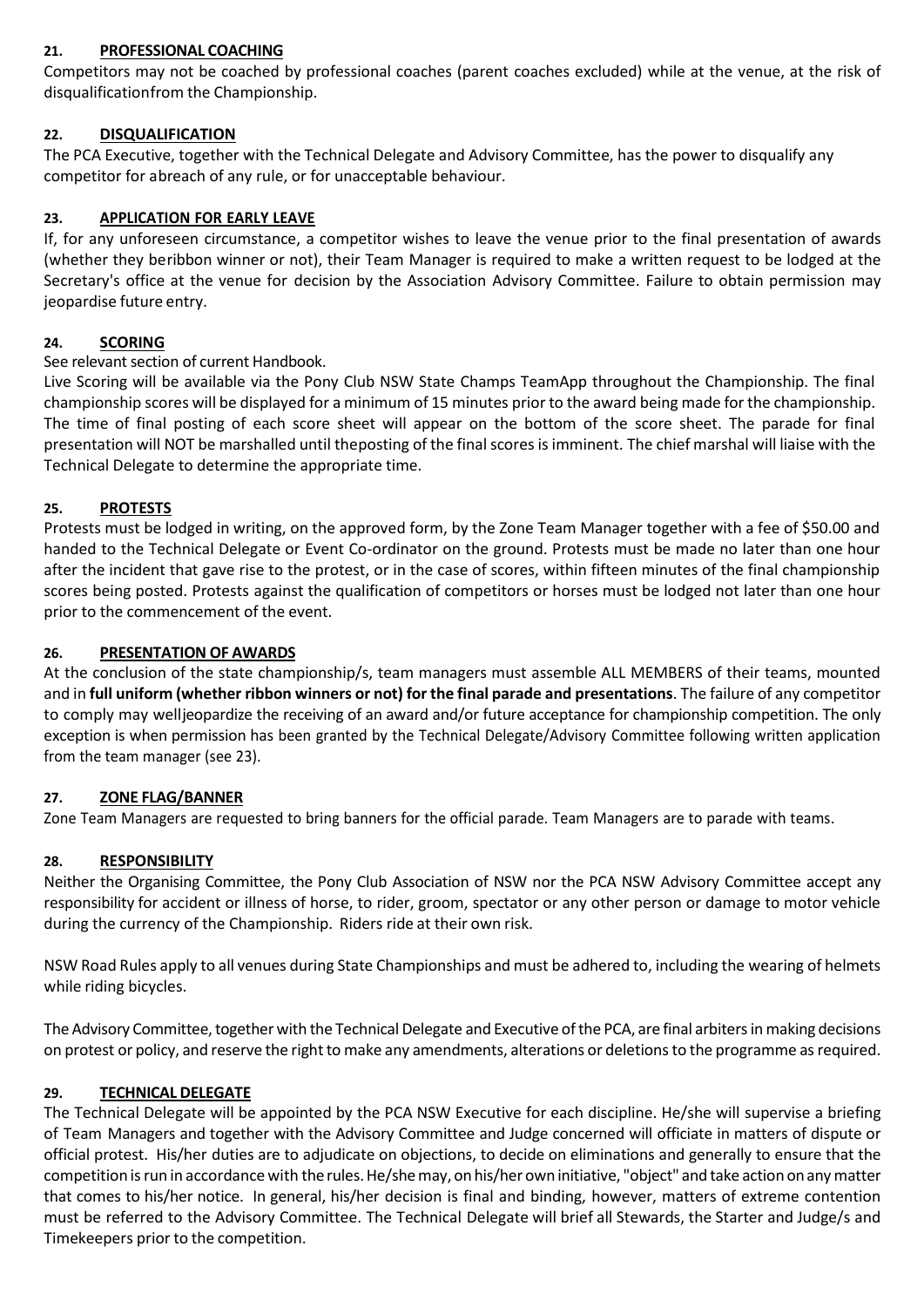#### **21. PROFESSIONAL COACHING**

Competitors may not be coached by professional coaches (parent coaches excluded) while at the venue, at the risk of disqualificationfrom the Championship.

# **22. DISQUALIFICATION**

The PCA Executive, together with the Technical Delegate and Advisory Committee, has the power to disqualify any competitor for abreach of any rule, or for unacceptable behaviour.

#### **23. APPLICATION FOR EARLY LEAVE**

If, for any unforeseen circumstance, a competitor wishes to leave the venue prior to the final presentation of awards (whether they beribbon winner or not), their Team Manager is required to make a written request to be lodged at the Secretary's office at the venue for decision by the Association Advisory Committee. Failure to obtain permission may jeopardise future entry.

#### **24. SCORING**

#### See relevant section of current Handbook.

Live Scoring will be available via the Pony Club NSW State Champs TeamApp throughout the Championship. The final championship scores will be displayed for a minimum of 15 minutes prior to the award being made for the championship. The time of final posting of each score sheet will appear on the bottom of the score sheet. The parade for final presentation will NOT be marshalled until theposting of the final scores is imminent. The chief marshal will liaise with the Technical Delegate to determine the appropriate time.

#### **25. PROTESTS**

Protests must be lodged in writing, on the approved form, by the Zone Team Manager together with a fee of \$50.00 and handed to the Technical Delegate or Event Co-ordinator on the ground. Protests must be made no later than one hour after the incident that gave rise to the protest, or in the case of scores, within fifteen minutes of the final championship scores being posted. Protests against the qualification of competitors or horses must be lodged not later than one hour prior to the commencement of the event.

#### **26. PRESENTATION OF AWARDS**

At the conclusion of the state championship/s, team managers must assemble ALL MEMBERS of their teams, mounted and in **full uniform (whether ribbon winners or not) for the final parade and presentations**. The failure of any competitor to comply may welljeopardize the receiving of an award and/or future acceptance for championship competition. The only exception is when permission has been granted by the Technical Delegate/Advisory Committee following written application from the team manager (see 23).

#### **27. ZONE FLAG/BANNER**

Zone Team Managers are requested to bring banners for the official parade. Team Managers are to parade with teams.

#### **28. RESPONSIBILITY**

Neither the Organising Committee, the Pony Club Association of NSW nor the PCA NSW Advisory Committee accept any responsibility for accident or illness of horse, to rider, groom, spectator or any other person or damage to motor vehicle during the currency of the Championship. Riders ride at their own risk.

NSW Road Rules apply to all venues during State Championships and must be adhered to, including the wearing of helmets while riding bicycles.

The Advisory Committee, together with the Technical Delegate and Executive of the PCA, are final arbiters in making decisions on protest or policy, and reserve the right to make any amendments, alterations or deletions to the programme as required.

# **29. TECHNICAL DELEGATE**

The Technical Delegate will be appointed by the PCA NSW Executive for each discipline. He/she will supervise a briefing of Team Managers and together with the Advisory Committee and Judge concerned will officiate in matters of dispute or official protest. His/her duties are to adjudicate on objections, to decide on eliminations and generally to ensure that the competition is run in accordance with the rules. He/she may, on his/her own initiative, "object" and take action on any matter that comes to his/her notice. In general, his/her decision is final and binding, however, matters of extreme contention must be referred to the Advisory Committee. The Technical Delegate will brief all Stewards, the Starter and Judge/s and Timekeepers prior to the competition.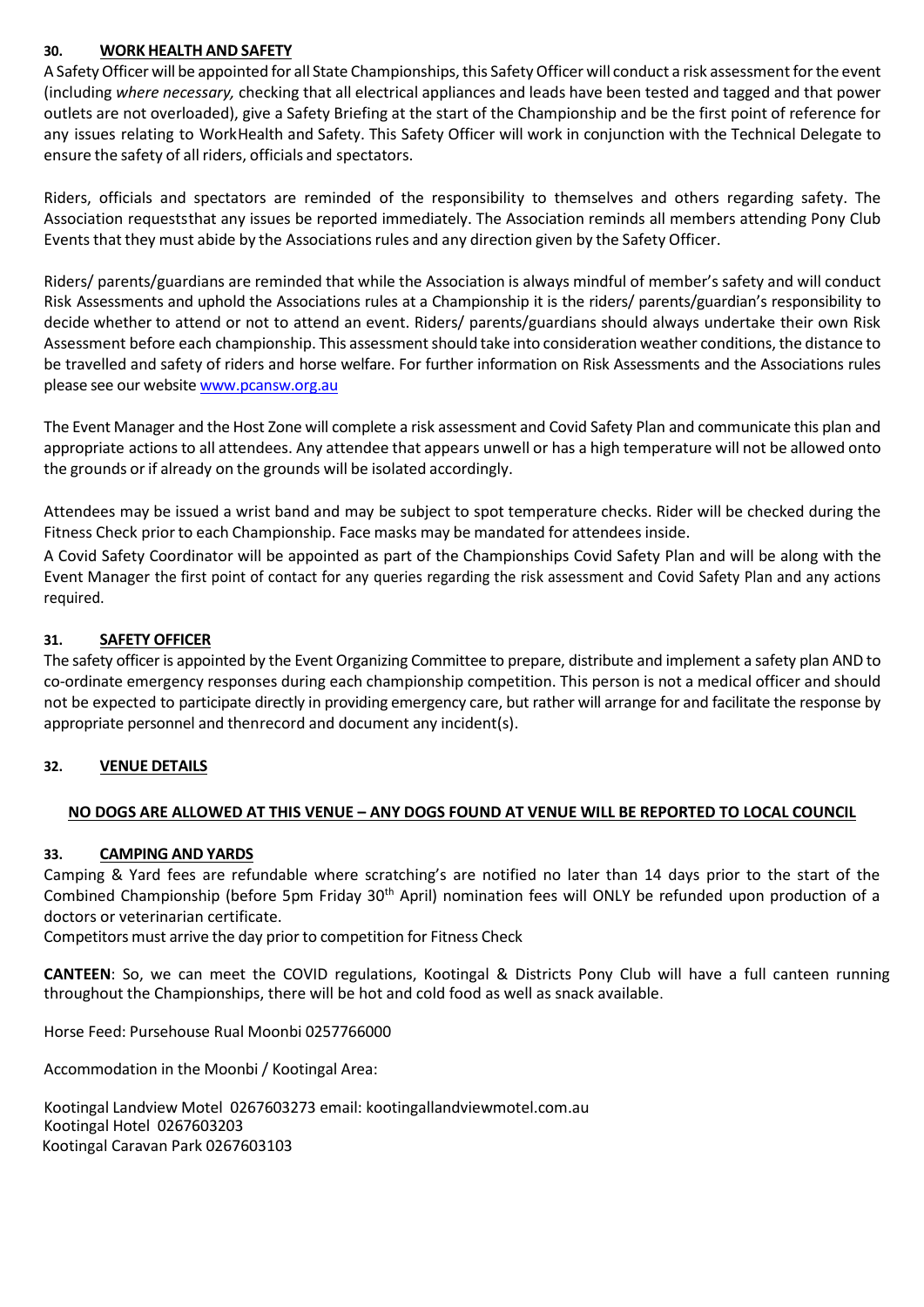#### **30. WORK HEALTH AND SAFETY**

A Safety Officer will be appointed for all State Championships, this Safety Officer will conduct a risk assessment for the event (including *where necessary,* checking that all electrical appliances and leads have been tested and tagged and that power outlets are not overloaded), give a Safety Briefing at the start of the Championship and be the first point of reference for any issues relating to WorkHealth and Safety. This Safety Officer will work in conjunction with the Technical Delegate to ensure the safety of all riders, officials and spectators.

Riders, officials and spectators are reminded of the responsibility to themselves and others regarding safety. The Association requeststhat any issues be reported immediately. The Association reminds all members attending Pony Club Events that they must abide by the Associations rules and any direction given by the Safety Officer.

Riders/ parents/guardians are reminded that while the Association is always mindful of member's safety and will conduct Risk Assessments and uphold the Associations rules at a Championship it is the riders/ parents/guardian's responsibility to decide whether to attend or not to attend an event. Riders/ parents/guardians should always undertake their own Risk Assessment before each championship. This assessment should take into consideration weather conditions, the distance to be travelled and safety of riders and horse welfare. For further information on Risk Assessments and the Associations rules please see our website [www.pcansw.org.au](http://www.pcansw.org.au/)

The Event Manager and the Host Zone will complete a risk assessment and Covid Safety Plan and communicate this plan and appropriate actions to all attendees. Any attendee that appears unwell or has a high temperature will not be allowed onto the grounds or if already on the grounds will be isolated accordingly.

Attendees may be issued a wrist band and may be subject to spot temperature checks. Rider will be checked during the Fitness Check prior to each Championship. Face masks may be mandated for attendees inside.

A Covid Safety Coordinator will be appointed as part of the Championships Covid Safety Plan and will be along with the Event Manager the first point of contact for any queries regarding the risk assessment and Covid Safety Plan and any actions required.

# **31. SAFETY OFFICER**

The safety officer is appointed by the Event Organizing Committee to prepare, distribute and implement a safety plan AND to co-ordinate emergency responses during each championship competition. This person is not a medical officer and should not be expected to participate directly in providing emergency care, but rather will arrange for and facilitate the response by appropriate personnel and thenrecord and document any incident(s).

# **32. VENUE DETAILS**

#### **NO DOGS ARE ALLOWED AT THIS VENUE – ANY DOGS FOUND AT VENUE WILL BE REPORTED TO LOCAL COUNCIL**

#### **33. CAMPING AND YARDS**

Camping & Yard fees are refundable where scratching's are notified no later than 14 days prior to the start of the Combined Championship (before 5pm Friday 30<sup>th</sup> April) nomination fees will ONLY be refunded upon production of a doctors or veterinarian certificate.

Competitors must arrive the day prior to competition for Fitness Check

**CANTEEN**: So, we can meet the COVID regulations, Kootingal & Districts Pony Club will have a full canteen running throughout the Championships, there will be hot and cold food as well as snack available.

Horse Feed: Pursehouse Rual Moonbi 0257766000

Accommodation in the Moonbi / Kootingal Area:

Kootingal Landview Motel 0267603273 email: kootingallandviewmotel.com.au Kootingal Hotel 0267603203 Kootingal Caravan Park 0267603103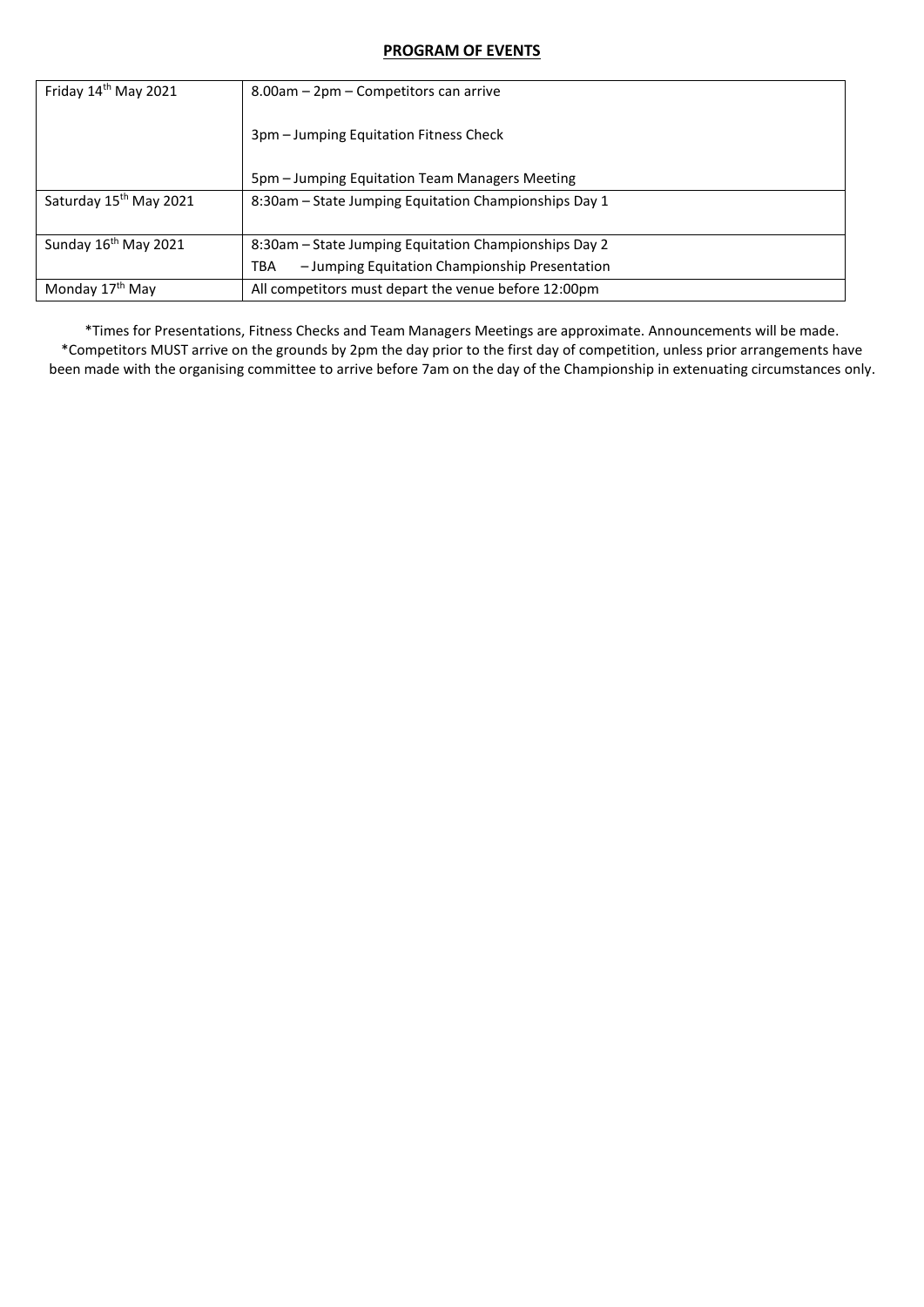#### **PROGRAM OF EVENTS**

| Friday $14th$ May 2021             | 8.00am - 2pm - Competitors can arrive                 |
|------------------------------------|-------------------------------------------------------|
|                                    | 3pm – Jumping Equitation Fitness Check                |
|                                    | 5pm – Jumping Equitation Team Managers Meeting        |
| Saturday 15 <sup>th</sup> May 2021 | 8:30am – State Jumping Equitation Championships Day 1 |
| Sunday 16 <sup>th</sup> May 2021   | 8:30am – State Jumping Equitation Championships Day 2 |
|                                    | - Jumping Equitation Championship Presentation<br>TBA |
| Monday 17 <sup>th</sup> May        | All competitors must depart the venue before 12:00pm  |

\*Times for Presentations, Fitness Checks and Team Managers Meetings are approximate. Announcements will be made. \*Competitors MUST arrive on the grounds by 2pm the day prior to the first day of competition, unless prior arrangements have been made with the organising committee to arrive before 7am on the day of the Championship in extenuating circumstances only.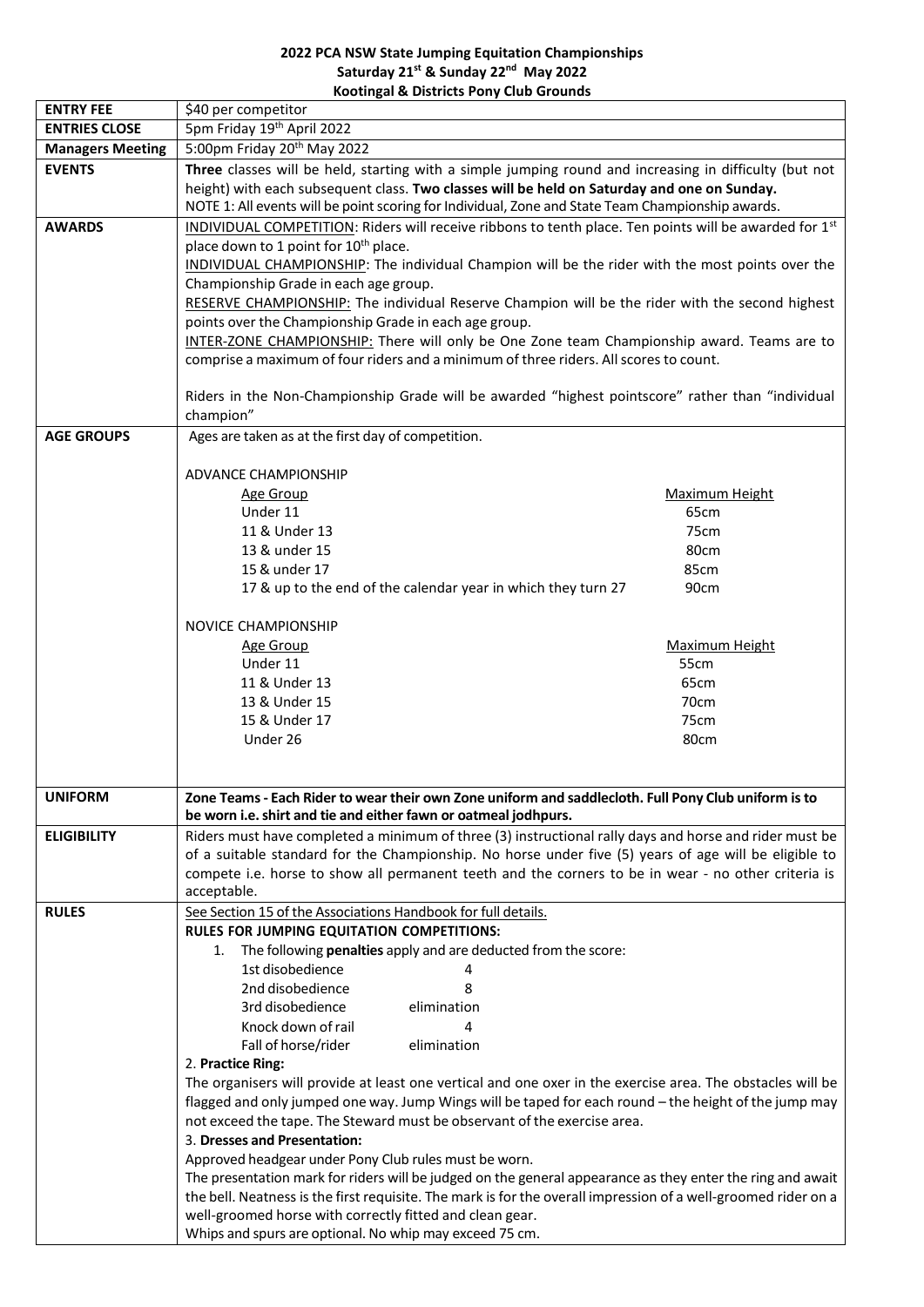#### **2022 PCA NSW State Jumping Equitation Championships Saturday 21st & Sunday 22nd May 2022 Kootingal & Districts Pony Club Grounds**

| <b>ENTRY FEE</b>        | \$40 per competitor                                                                                                                                                                                                                                                                             |                |  |  |  |  |
|-------------------------|-------------------------------------------------------------------------------------------------------------------------------------------------------------------------------------------------------------------------------------------------------------------------------------------------|----------------|--|--|--|--|
| <b>ENTRIES CLOSE</b>    | 5pm Friday 19th April 2022                                                                                                                                                                                                                                                                      |                |  |  |  |  |
| <b>Managers Meeting</b> | 5:00pm Friday 20 <sup>th</sup> May 2022                                                                                                                                                                                                                                                         |                |  |  |  |  |
| <b>EVENTS</b>           | Three classes will be held, starting with a simple jumping round and increasing in difficulty (but not                                                                                                                                                                                          |                |  |  |  |  |
|                         | height) with each subsequent class. Two classes will be held on Saturday and one on Sunday.                                                                                                                                                                                                     |                |  |  |  |  |
|                         | NOTE 1: All events will be point scoring for Individual, Zone and State Team Championship awards.                                                                                                                                                                                               |                |  |  |  |  |
| <b>AWARDS</b>           | INDIVIDUAL COMPETITION: Riders will receive ribbons to tenth place. Ten points will be awarded for 1st                                                                                                                                                                                          |                |  |  |  |  |
|                         | place down to 1 point for 10 <sup>th</sup> place.                                                                                                                                                                                                                                               |                |  |  |  |  |
|                         | INDIVIDUAL CHAMPIONSHIP: The individual Champion will be the rider with the most points over the                                                                                                                                                                                                |                |  |  |  |  |
|                         | Championship Grade in each age group.                                                                                                                                                                                                                                                           |                |  |  |  |  |
|                         | RESERVE CHAMPIONSHIP: The individual Reserve Champion will be the rider with the second highest                                                                                                                                                                                                 |                |  |  |  |  |
|                         | points over the Championship Grade in each age group.                                                                                                                                                                                                                                           |                |  |  |  |  |
|                         | INTER-ZONE CHAMPIONSHIP: There will only be One Zone team Championship award. Teams are to                                                                                                                                                                                                      |                |  |  |  |  |
|                         | comprise a maximum of four riders and a minimum of three riders. All scores to count.                                                                                                                                                                                                           |                |  |  |  |  |
|                         |                                                                                                                                                                                                                                                                                                 |                |  |  |  |  |
|                         | Riders in the Non-Championship Grade will be awarded "highest pointscore" rather than "individual                                                                                                                                                                                               |                |  |  |  |  |
|                         | champion"                                                                                                                                                                                                                                                                                       |                |  |  |  |  |
| <b>AGE GROUPS</b>       | Ages are taken as at the first day of competition.                                                                                                                                                                                                                                              |                |  |  |  |  |
|                         |                                                                                                                                                                                                                                                                                                 |                |  |  |  |  |
|                         | <b>ADVANCE CHAMPIONSHIP</b>                                                                                                                                                                                                                                                                     |                |  |  |  |  |
|                         | <b>Age Group</b>                                                                                                                                                                                                                                                                                | Maximum Height |  |  |  |  |
|                         | Under 11                                                                                                                                                                                                                                                                                        | 65cm           |  |  |  |  |
|                         | 11 & Under 13                                                                                                                                                                                                                                                                                   | 75cm           |  |  |  |  |
|                         | 13 & under 15                                                                                                                                                                                                                                                                                   | 80cm           |  |  |  |  |
|                         | 15 & under 17                                                                                                                                                                                                                                                                                   | 85cm           |  |  |  |  |
|                         | 17 & up to the end of the calendar year in which they turn 27                                                                                                                                                                                                                                   | 90cm           |  |  |  |  |
|                         |                                                                                                                                                                                                                                                                                                 |                |  |  |  |  |
|                         | NOVICE CHAMPIONSHIP                                                                                                                                                                                                                                                                             |                |  |  |  |  |
|                         | <b>Age Group</b>                                                                                                                                                                                                                                                                                | Maximum Height |  |  |  |  |
|                         | Under 11                                                                                                                                                                                                                                                                                        | 55cm           |  |  |  |  |
|                         | 11 & Under 13                                                                                                                                                                                                                                                                                   | 65cm           |  |  |  |  |
|                         | 13 & Under 15                                                                                                                                                                                                                                                                                   | 70cm           |  |  |  |  |
|                         | 15 & Under 17                                                                                                                                                                                                                                                                                   | 75cm           |  |  |  |  |
|                         | Under 26                                                                                                                                                                                                                                                                                        | 80cm           |  |  |  |  |
|                         |                                                                                                                                                                                                                                                                                                 |                |  |  |  |  |
|                         |                                                                                                                                                                                                                                                                                                 |                |  |  |  |  |
| <b>UNIFORM</b>          | Zone Teams - Each Rider to wear their own Zone uniform and saddlecloth. Full Pony Club uniform is to<br>be worn i.e. shirt and tie and either fawn or oatmeal jodhpurs.                                                                                                                         |                |  |  |  |  |
| <b>ELIGIBILITY</b>      | Riders must have completed a minimum of three (3) instructional rally days and horse and rider must be                                                                                                                                                                                          |                |  |  |  |  |
|                         | of a suitable standard for the Championship. No horse under five (5) years of age will be eligible to                                                                                                                                                                                           |                |  |  |  |  |
|                         | compete i.e. horse to show all permanent teeth and the corners to be in wear - no other criteria is                                                                                                                                                                                             |                |  |  |  |  |
|                         | acceptable.                                                                                                                                                                                                                                                                                     |                |  |  |  |  |
| <b>RULES</b>            | See Section 15 of the Associations Handbook for full details.                                                                                                                                                                                                                                   |                |  |  |  |  |
|                         | RULES FOR JUMPING EQUITATION COMPETITIONS:                                                                                                                                                                                                                                                      |                |  |  |  |  |
|                         | The following <b>penalties</b> apply and are deducted from the score:<br>1.                                                                                                                                                                                                                     |                |  |  |  |  |
|                         | 1st disobedience<br>4                                                                                                                                                                                                                                                                           |                |  |  |  |  |
|                         | 2nd disobedience<br>8                                                                                                                                                                                                                                                                           |                |  |  |  |  |
|                         | 3rd disobedience<br>elimination                                                                                                                                                                                                                                                                 |                |  |  |  |  |
|                         | Knock down of rail<br>4                                                                                                                                                                                                                                                                         |                |  |  |  |  |
|                         | Fall of horse/rider<br>elimination                                                                                                                                                                                                                                                              |                |  |  |  |  |
|                         | 2. Practice Ring:                                                                                                                                                                                                                                                                               |                |  |  |  |  |
|                         |                                                                                                                                                                                                                                                                                                 |                |  |  |  |  |
|                         | The organisers will provide at least one vertical and one oxer in the exercise area. The obstacles will be<br>flagged and only jumped one way. Jump Wings will be taped for each round - the height of the jump may<br>not exceed the tape. The Steward must be observant of the exercise area. |                |  |  |  |  |
|                         |                                                                                                                                                                                                                                                                                                 |                |  |  |  |  |
|                         | 3. Dresses and Presentation:                                                                                                                                                                                                                                                                    |                |  |  |  |  |
|                         | Approved headgear under Pony Club rules must be worn.                                                                                                                                                                                                                                           |                |  |  |  |  |
|                         | The presentation mark for riders will be judged on the general appearance as they enter the ring and await                                                                                                                                                                                      |                |  |  |  |  |
|                         |                                                                                                                                                                                                                                                                                                 |                |  |  |  |  |
|                         | the bell. Neatness is the first requisite. The mark is for the overall impression of a well-groomed rider on a<br>well-groomed horse with correctly fitted and clean gear.                                                                                                                      |                |  |  |  |  |
|                         | Whips and spurs are optional. No whip may exceed 75 cm.                                                                                                                                                                                                                                         |                |  |  |  |  |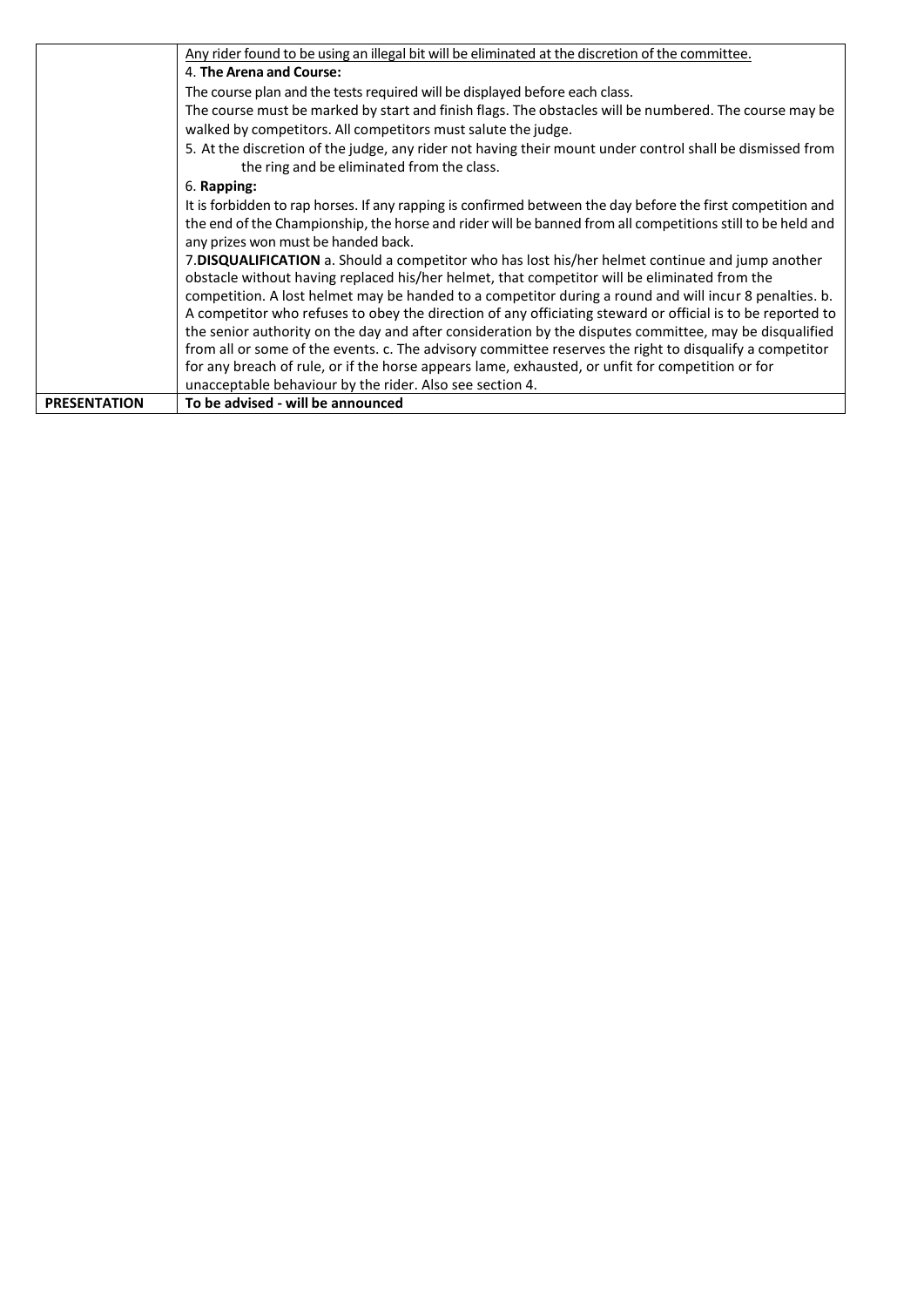|                     | Any rider found to be using an illegal bit will be eliminated at the discretion of the committee.           |  |  |
|---------------------|-------------------------------------------------------------------------------------------------------------|--|--|
|                     | 4. The Arena and Course:                                                                                    |  |  |
|                     | The course plan and the tests required will be displayed before each class.                                 |  |  |
|                     | The course must be marked by start and finish flags. The obstacles will be numbered. The course may be      |  |  |
|                     | walked by competitors. All competitors must salute the judge.                                               |  |  |
|                     | 5. At the discretion of the judge, any rider not having their mount under control shall be dismissed from   |  |  |
|                     | the ring and be eliminated from the class.                                                                  |  |  |
|                     | 6. Rapping:                                                                                                 |  |  |
|                     | It is forbidden to rap horses. If any rapping is confirmed between the day before the first competition and |  |  |
|                     | the end of the Championship, the horse and rider will be banned from all competitions still to be held and  |  |  |
|                     | any prizes won must be handed back.                                                                         |  |  |
|                     | 7. DISQUALIFICATION a. Should a competitor who has lost his/her helmet continue and jump another            |  |  |
|                     | obstacle without having replaced his/her helmet, that competitor will be eliminated from the                |  |  |
|                     | competition. A lost helmet may be handed to a competitor during a round and will incur 8 penalties. b.      |  |  |
|                     | A competitor who refuses to obey the direction of any officiating steward or official is to be reported to  |  |  |
|                     | the senior authority on the day and after consideration by the disputes committee, may be disqualified      |  |  |
|                     | from all or some of the events. c. The advisory committee reserves the right to disqualify a competitor     |  |  |
|                     | for any breach of rule, or if the horse appears lame, exhausted, or unfit for competition or for            |  |  |
|                     | unacceptable behaviour by the rider. Also see section 4.                                                    |  |  |
| <b>PRESENTATION</b> | To be advised - will be announced                                                                           |  |  |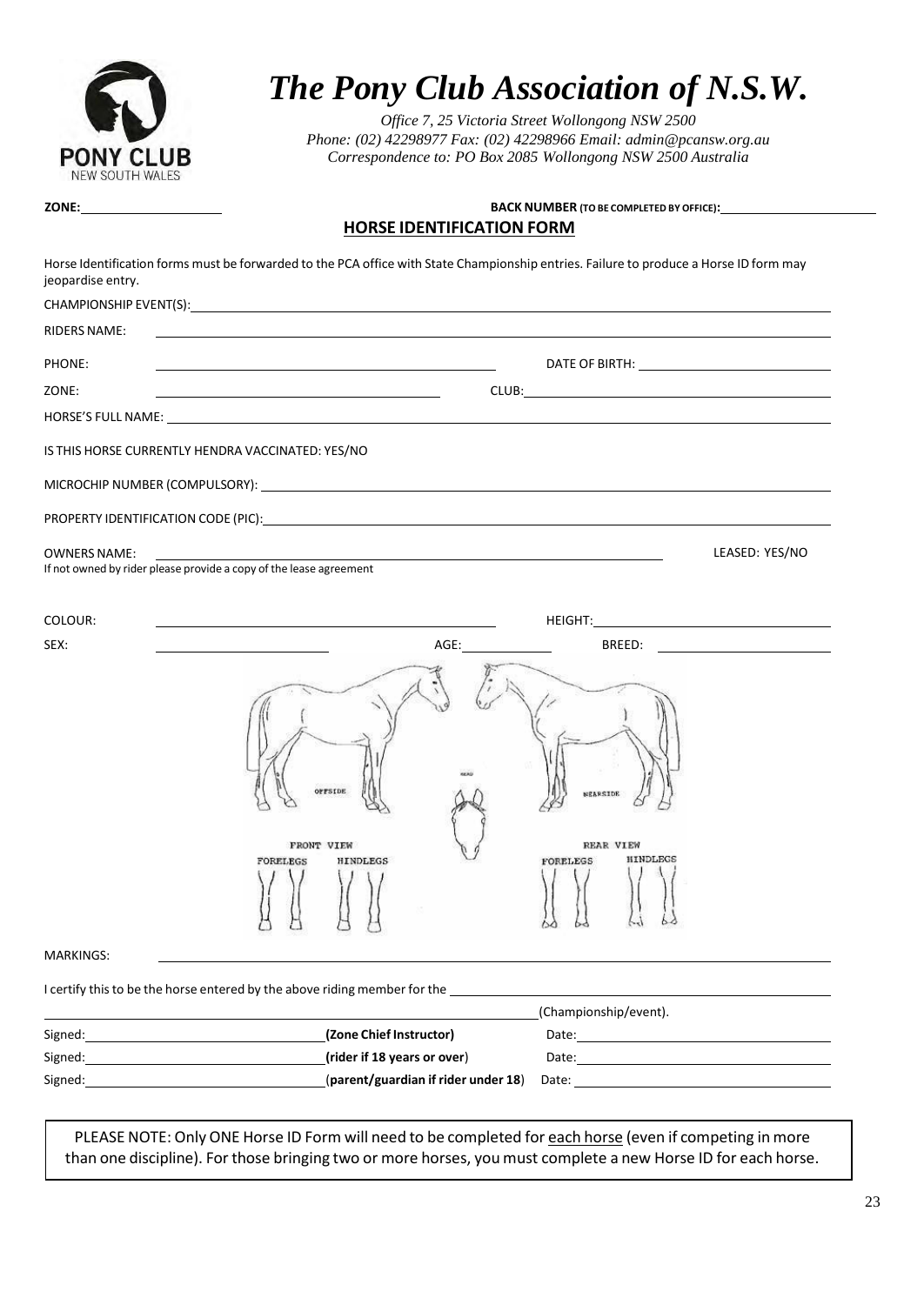

# *The Pony Club Association of N.S.W.*

**HORSEIDENTIFICATION** *Office 7, 25 Victoria Street Wollongong NSW 2500 Phone: (02) 42298977 Fax: (02) 42298966 Ema[il: admin@pcansw.org.au](mailto:admin@pcansw.org.au) Correspondence to: PO Box 2085 Wollongong NSW 2500 Australia*

#### **ZONE: BACK NUMBER (TO BE COMPLETED BY OFFICE): HORSE IDENTIFICATION FORM**

| jeopardise entry.   | Horse Identification forms must be forwarded to the PCA office with State Championship entries. Failure to produce a Horse ID form may                                                                                                                                |                |
|---------------------|-----------------------------------------------------------------------------------------------------------------------------------------------------------------------------------------------------------------------------------------------------------------------|----------------|
|                     |                                                                                                                                                                                                                                                                       |                |
| <b>RIDERS NAME:</b> |                                                                                                                                                                                                                                                                       |                |
| PHONE:              |                                                                                                                                                                                                                                                                       |                |
| ZONE:               | <u> 1989 - Johann Stoff, Amerikaansk politiker († 1908)</u>                                                                                                                                                                                                           |                |
|                     |                                                                                                                                                                                                                                                                       |                |
|                     | IS THIS HORSE CURRENTLY HENDRA VACCINATED: YES/NO                                                                                                                                                                                                                     |                |
|                     |                                                                                                                                                                                                                                                                       |                |
|                     |                                                                                                                                                                                                                                                                       |                |
| <b>OWNERS NAME:</b> | If not owned by rider please provide a copy of the lease agreement                                                                                                                                                                                                    | LEASED: YES/NO |
| COLOUR:             |                                                                                                                                                                                                                                                                       |                |
| SEX:                | AGE:                                                                                                                                                                                                                                                                  |                |
|                     | OFFSIDE<br><b>NEARSIDE</b><br><b>REAR VIEW</b><br>FRONT VIEW<br>HINDLEGS<br><b>HINDLEGS</b><br><b>FORELEGS</b><br>FORELEGS                                                                                                                                            |                |
|                     |                                                                                                                                                                                                                                                                       |                |
| <b>MARKINGS:</b>    |                                                                                                                                                                                                                                                                       |                |
|                     | I certify this to be the horse entered by the above riding member for the                                                                                                                                                                                             |                |
| Signed:             | (Championship/event).<br>(Zone Chief Instructor)                                                                                                                                                                                                                      |                |
| Signed:             | (rider if 18 years or over)<br>Date: <u>_____________________</u>                                                                                                                                                                                                     |                |
| Signed:             | (parent/guardian if rider under 18)<br>Date: the contract of the contract of the contract of the contract of the contract of the contract of the contract of the contract of the contract of the contract of the contract of the contract of the contract of the cont |                |
|                     |                                                                                                                                                                                                                                                                       |                |

PLEASE NOTE: Only ONE Horse ID Form will need to be completed for each horse (even if competing in more than one discipline). For those bringing two or more horses, you must complete a new Horse ID for each horse.